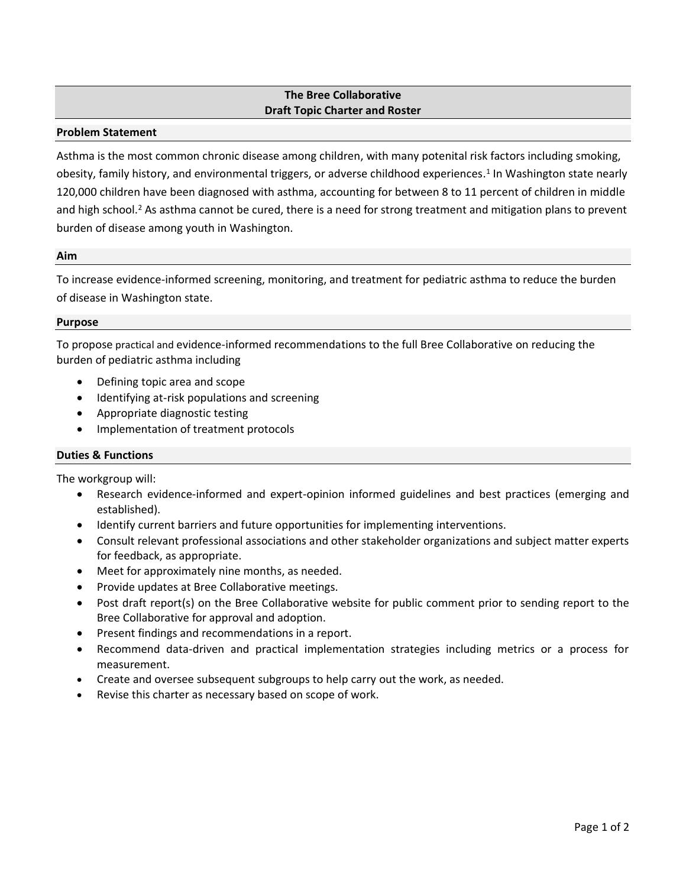# **The Bree Collaborative Draft Topic Charter and Roster**

## **Problem Statement**

Asthma is the most common chronic disease among children, with many potenital risk factors including smoking, obesity, family history, and environmental triggers, or adverse childhood experiences. 1 In Washington state nearly 120,000 children have been diagnosed with asthma, accounting for between 8 to 11 percent of children in middle and high school.<sup>2</sup> As asthma cannot be cured, there is a need for strong treatment and mitigation plans to prevent burden of disease among youth in Washington.

### **Aim**

To increase evidence-informed screening, monitoring, and treatment for pediatric asthma to reduce the burden of disease in Washington state.

### **Purpose**

To propose practical and evidence-informed recommendations to the full Bree Collaborative on reducing the burden of pediatric asthma including

- Defining topic area and scope
- Identifying at-risk populations and screening
- Appropriate diagnostic testing
- Implementation of treatment protocols

### **Duties & Functions**

The workgroup will:

- Research evidence-informed and expert-opinion informed guidelines and best practices (emerging and established).
- Identify current barriers and future opportunities for implementing interventions.
- Consult relevant professional associations and other stakeholder organizations and subject matter experts for feedback, as appropriate.
- Meet for approximately nine months, as needed.
- Provide updates at Bree Collaborative meetings.
- Post draft report(s) on the Bree Collaborative website for public comment prior to sending report to the Bree Collaborative for approval and adoption.
- Present findings and recommendations in a report.
- Recommend data-driven and practical implementation strategies including metrics or a process for measurement.
- Create and oversee subsequent subgroups to help carry out the work, as needed.
- Revise this charter as necessary based on scope of work.